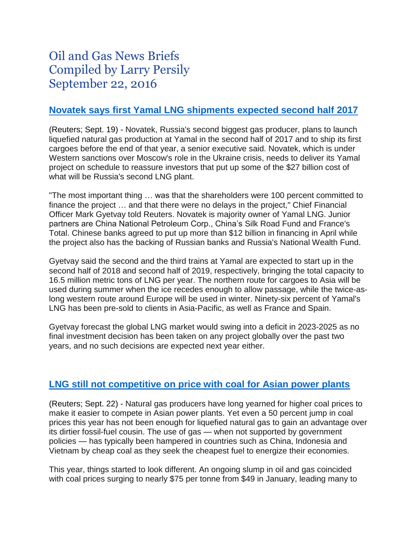# Oil and Gas News Briefs Compiled by Larry Persily September 22, 2016

#### **Novatek says first Yamal LNG [shipments](http://www.reuters.com/article/russia-novatek-yamal-idUSL8N1BV22D) expected second half 2017**

(Reuters; Sept. 19) - Novatek, Russia's second biggest gas producer, plans to launch liquefied natural gas production at Yamal in the second half of 2017 and to ship its first cargoes before the end of that year, a senior executive said. Novatek, which is under Western sanctions over Moscow's role in the Ukraine crisis, needs to deliver its Yamal project on schedule to reassure investors that put up some of the \$27 billion cost of what will be Russia's second LNG plant.

"The most important thing … was that the shareholders were 100 percent committed to finance the project … and that there were no delays in the project," Chief Financial Officer Mark Gyetvay told Reuters. Novatek is majority owner of Yamal LNG. Junior partners are China National Petroleum Corp., China's Silk Road Fund and France's Total. Chinese banks agreed to put up more than \$12 billion in financing in April while the project also has the backing of Russian banks and Russia's National Wealth Fund.

Gyetvay said the second and the third trains at Yamal are expected to start up in the second half of 2018 and second half of 2019, respectively, bringing the total capacity to 16.5 million metric tons of LNG per year. The northern route for cargoes to Asia will be used during summer when the ice recedes enough to allow passage, while the twice-aslong western route around Europe will be used in winter. Ninety-six percent of Yamal's LNG has been pre-sold to clients in Asia-Pacific, as well as France and Spain.

Gyetvay forecast the global LNG market would swing into a deficit in 2023-2025 as no final investment decision has been taken on any project globally over the past two years, and no such decisions are expected next year either.

#### **[LNG still not competitive on price with coal for Asian power plants](http://www.reuters.com/article/us-lng-coal-asia-idUSKCN11S0UP)**

(Reuters; Sept. 22) - Natural gas producers have long yearned for higher coal prices to make it easier to compete in Asian power plants. Yet even a 50 percent jump in coal prices this year has not been enough for liquefied natural gas to gain an advantage over its dirtier fossil-fuel cousin. The use of gas — when not supported by government policies — has typically been hampered in countries such as China, Indonesia and Vietnam by cheap coal as they seek the cheapest fuel to energize their economies.

This year, things started to look different. An ongoing slump in oil and gas coincided with coal prices surging to nearly \$75 per tonne from \$49 in January, leading many to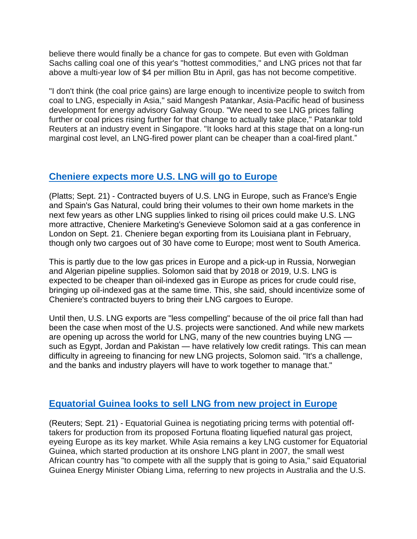believe there would finally be a chance for gas to compete. But even with Goldman Sachs calling coal one of this year's "hottest commodities," and LNG prices not that far above a multi-year low of \$4 per million Btu in April, gas has not become competitive.

"I don't think (the coal price gains) are large enough to incentivize people to switch from coal to LNG, especially in Asia," said Mangesh Patankar, Asia-Pacific head of business development for energy advisory Galway Group. "We need to see LNG prices falling further or coal prices rising further for that change to actually take place," Patankar told Reuters at an industry event in Singapore. "It looks hard at this stage that on a long-run marginal cost level, an LNG-fired power plant can be cheaper than a coal-fired plant."

#### **[Cheniere expects more U.S. LNG will go to Europe](http://www.platts.com/latest-news/natural-gas/london/european-buyers-may-bring-us-lng-to-home-markets-26550798)**

(Platts; Sept. 21) - Contracted buyers of U.S. LNG in Europe, such as France's Engie and Spain's Gas Natural, could bring their volumes to their own home markets in the next few years as other LNG supplies linked to rising oil prices could make U.S. LNG more attractive, Cheniere Marketing's Genevieve Solomon said at a gas conference in London on Sept. 21. Cheniere began exporting from its Louisiana plant in February, though only two cargoes out of 30 have come to Europe; most went to South America.

This is partly due to the low gas prices in Europe and a pick-up in Russia, Norwegian and Algerian pipeline supplies. Solomon said that by 2018 or 2019, U.S. LNG is expected to be cheaper than oil-indexed gas in Europe as prices for crude could rise, bringing up oil-indexed gas at the same time. This, she said, should incentivize some of Cheniere's contracted buyers to bring their LNG cargoes to Europe.

Until then, U.S. LNG exports are "less compelling" because of the oil price fall than had been the case when most of the U.S. projects were sanctioned. And while new markets are opening up across the world for LNG, many of the new countries buying LNG such as Egypt, Jordan and Pakistan — have relatively low credit ratings. This can mean difficulty in agreeing to financing for new LNG projects, Solomon said. "It's a challenge, and the banks and industry players will have to work together to manage that."

#### **[Equatorial Guinea looks to sell LNG from new project in Europe](http://uk.reuters.com/article/uk-asia-lng-equatorial-idUKKCN11R0NR?il=0)**

(Reuters; Sept. 21) - Equatorial Guinea is negotiating pricing terms with potential offtakers for production from its proposed Fortuna floating liquefied natural gas project, eyeing Europe as its key market. While Asia remains a key LNG customer for Equatorial Guinea, which started production at its onshore LNG plant in 2007, the small west African country has "to compete with all the supply that is going to Asia," said Equatorial Guinea Energy Minister Obiang Lima, referring to new projects in Australia and the U.S.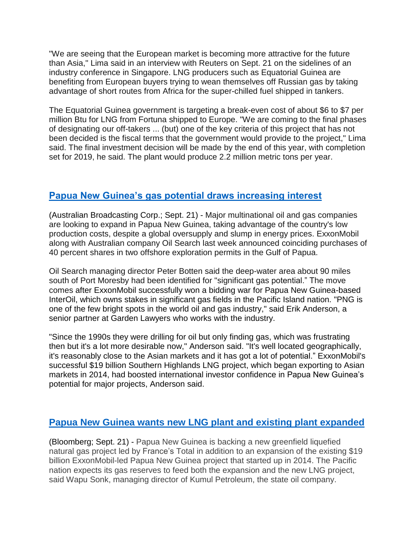"We are seeing that the European market is becoming more attractive for the future than Asia," Lima said in an interview with Reuters on Sept. 21 on the sidelines of an industry conference in Singapore. LNG producers such as Equatorial Guinea are benefiting from European buyers trying to wean themselves off Russian gas by taking advantage of short routes from Africa for the super-chilled fuel shipped in tankers.

The Equatorial Guinea government is targeting a break-even cost of about \$6 to \$7 per million Btu for LNG from Fortuna shipped to Europe. "We are coming to the final phases of designating our off-takers ... (but) one of the key criteria of this project that has not been decided is the fiscal terms that the government would provide to the project," Lima said. The final investment decision will be made by the end of this year, with completion set for 2019, he said. The plant would produce 2.2 million metric tons per year.

## **[Papua New Guinea's gas potential draws increasing interest](http://www.abc.net.au/news/2016-09-21/energy-companies-eyeing-papua-new-guinea/7865410)**

(Australian Broadcasting Corp.; Sept. 21) - Major multinational oil and gas companies are looking to expand in Papua New Guinea, taking advantage of the country's low production costs, despite a global oversupply and slump in energy prices. ExxonMobil along with Australian company Oil Search last week announced coinciding purchases of 40 percent shares in two offshore exploration permits in the Gulf of Papua.

Oil Search managing director Peter Botten said the deep-water area about 90 miles south of Port Moresby had been identified for "significant gas potential." The move comes after ExxonMobil successfully won a bidding war for Papua New Guinea-based InterOil, which owns stakes in significant gas fields in the Pacific Island nation. "PNG is one of the few bright spots in the world oil and gas industry," said Erik Anderson, a senior partner at Garden Lawyers who works with the industry.

"Since the 1990s they were drilling for oil but only finding gas, which was frustrating then but it's a lot more desirable now," Anderson said. "It's well located geographically, it's reasonably close to the Asian markets and it has got a lot of potential." ExxonMobil's successful \$19 billion Southern Highlands LNG project, which began exporting to Asian markets in 2014, had boosted international investor confidence in Papua New Guinea's potential for major projects, Anderson said.

## **[Papua New Guinea wants new LNG plant and existing plant expanded](http://www.bloomberg.com/news/articles/2016-09-21/png-government-prefers-exxon-total-pursue-second-lng-project)**

(Bloomberg; Sept. 21) - Papua New Guinea is backing a new greenfield liquefied natural gas project led by France's Total in addition to an expansion of the existing \$19 billion ExxonMobil-led Papua New Guinea project that started up in 2014. The Pacific nation expects its gas reserves to feed both the expansion and the new LNG project, said Wapu Sonk, managing director of Kumul Petroleum, the state oil company.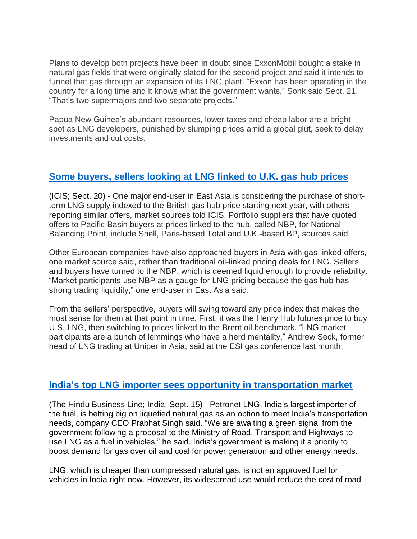Plans to develop both projects have been in doubt since ExxonMobil bought a stake in natural gas fields that were originally slated for the second project and said it intends to funnel that gas through an expansion of its LNG plant. "Exxon has been operating in the country for a long time and it knows what the government wants," Sonk said Sept. 21. "That's two supermajors and two separate projects."

Papua New Guinea's abundant resources, lower taxes and cheap labor are a bright spot as LNG developers, punished by slumping prices amid a global glut, seek to delay investments and cut costs.

## **[Some buyers, sellers looking at LNG linked to U.K. gas hub prices](http://www.icis.com/resources/news/2016/09/20/10035970/asian-end-users-ready-to-buy-lng-at-nbp-linked-prices/)**

(ICIS; Sept. 20) - One major end-user in East Asia is considering the purchase of shortterm LNG supply indexed to the British gas hub price starting next year, with others reporting similar offers, market sources told ICIS. Portfolio suppliers that have quoted offers to Pacific Basin buyers at prices linked to the hub, called NBP, for National Balancing Point, include Shell, Paris-based Total and U.K.-based BP, sources said.

Other European companies have also approached buyers in Asia with gas-linked offers, one market source said, rather than traditional oil-linked pricing deals for LNG. Sellers and buyers have turned to the NBP, which is deemed liquid enough to provide reliability. "Market participants use NBP as a gauge for LNG pricing because the gas hub has strong trading liquidity," one end-user in East Asia said.

From the sellers' perspective, buyers will swing toward any price index that makes the most sense for them at that point in time. First, it was the Henry Hub futures price to buy U.S. LNG, then switching to prices linked to the Brent oil benchmark. "LNG market participants are a bunch of lemmings who have a herd mentality," Andrew Seck, former head of LNG trading at Uniper in Asia, said at the ESI gas conference last month.

#### **India's top LNG importer [sees opportunity in transportation market](http://www.thehindubusinessline.com/companies/petronet-awaits-govt-nod-for-use-of-lng-as-fuel-in-vehicles/article9110543.ece)**

(The Hindu Business Line; India; Sept. 15) - Petronet LNG, India's largest importer of the fuel, is betting big on liquefied natural gas as an option to meet India's transportation needs, company CEO Prabhat Singh said. "We are awaiting a green signal from the government following a proposal to the Ministry of Road, Transport and Highways to use LNG as a fuel in vehicles," he said. India's government is making it a priority to boost demand for gas over oil and coal for power generation and other energy needs.

LNG, which is cheaper than compressed natural gas, is not an approved fuel for vehicles in India right now. However, its widespread use would reduce the cost of road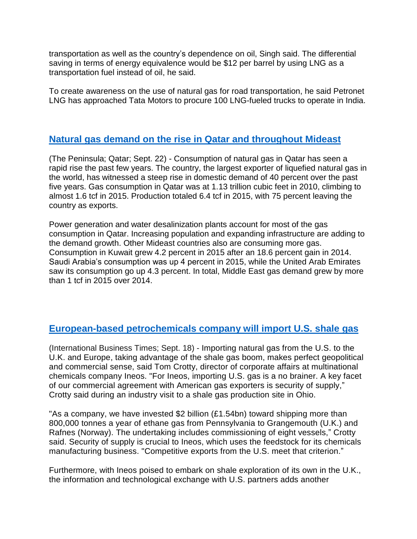transportation as well as the country's dependence on oil, Singh said. The differential saving in terms of energy equivalence would be \$12 per barrel by using LNG as a transportation fuel instead of oil, he said.

To create awareness on the use of natural gas for road transportation, he said Petronet LNG has approached Tata Motors to procure 100 LNG-fueled trucks to operate in India.

## **[Natural gas demand on the rise in Qatar and throughout Mideast](http://www.thepeninsulaqatar.com/business/qatar-business/391739/qatar-s-gas-consumption-jumps-40-in-five-years)**

(The Peninsula; Qatar; Sept. 22) - Consumption of natural gas in Qatar has seen a rapid rise the past few years. The country, the largest exporter of liquefied natural gas in the world, has witnessed a steep rise in domestic demand of 40 percent over the past five years. Gas consumption in Qatar was at 1.13 trillion cubic feet in 2010, climbing to almost 1.6 tcf in 2015. Production totaled 6.4 tcf in 2015, with 75 percent leaving the country as exports.

Power generation and water desalinization plants account for most of the gas consumption in Qatar. Increasing population and expanding infrastructure are adding to the demand growth. Other Mideast countries also are consuming more gas. Consumption in Kuwait grew 4.2 percent in 2015 after an 18.6 percent gain in 2014. Saudi Arabia's consumption was up 4 percent in 2015, while the United Arab Emirates saw its consumption go up 4.3 percent. In total, Middle East gas demand grew by more than 1 tcf in 2015 over 2014.

## **[European-based](https://uk.news.yahoo.com/uk-imports-us-natural-gas-093954384.html) petrochemicals company will import U.S. shale gas**

(International Business Times; Sept. 18) - Importing natural gas from the U.S. to the U.K. and Europe, taking advantage of the shale gas boom, makes perfect geopolitical and commercial sense, said Tom Crotty, director of corporate affairs at multinational chemicals company Ineos. "For Ineos, importing U.S. gas is a no brainer. A key facet of our commercial agreement with American gas exporters is security of supply," Crotty said during an industry visit to a shale gas production site in Ohio.

"As a company, we have invested \$2 billion (£1.54bn) toward shipping more than 800,000 tonnes a year of ethane gas from Pennsylvania to Grangemouth (U.K.) and Rafnes (Norway). The undertaking includes commissioning of eight vessels," Crotty said. Security of supply is crucial to Ineos, which uses the feedstock for its chemicals manufacturing business. "Competitive exports from the U.S. meet that criterion."

Furthermore, with Ineos poised to embark on shale exploration of its own in the U.K., the information and technological exchange with U.S. partners adds another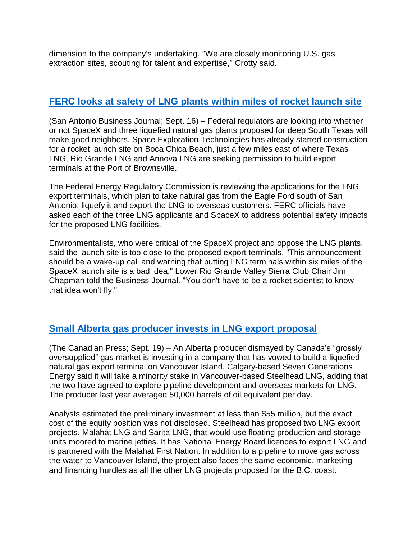dimension to the company's undertaking. "We are closely monitoring U.S. gas extraction sites, scouting for talent and expertise," Crotty said.

## **[FERC looks at safety of LNG plants](http://www.bizjournals.com/sanantonio/blog/eagle-ford-shale-insight/2016/09/feds-to-assess-if-spacex-south-texas-lng-plants.html) within miles of rocket launch site**

(San Antonio Business Journal; Sept. 16) – Federal regulators are looking into whether or not SpaceX and three liquefied natural gas plants proposed for deep South Texas will make good neighbors. Space Exploration Technologies has already started construction for a rocket launch site on Boca Chica Beach, just a few miles east of where Texas LNG, Rio Grande LNG and Annova LNG are seeking permission to build export terminals at the Port of Brownsville.

The Federal Energy Regulatory Commission is reviewing the applications for the LNG export terminals, which plan to take natural gas from the Eagle Ford south of San Antonio, liquefy it and export the LNG to overseas customers. FERC officials have asked each of the three LNG applicants and SpaceX to address potential safety impacts for the proposed LNG facilities.

Environmentalists, who were critical of the SpaceX project and oppose the LNG plants, said the launch site is too close to the proposed export terminals. "This announcement should be a wake-up call and warning that putting LNG terminals within six miles of the SpaceX launch site is a bad idea," Lower Rio Grande Valley Sierra Club Chair Jim Chapman told the Business Journal. "You don't have to be a rocket scientist to know that idea won't fly."

## **[Small Alberta gas producer invests in LNG export proposal](http://calgaryherald.com/business/energy/alberta-gas-producer-joins-forces-with-b-c-lng-export-project-developer)**

(The Canadian Press; Sept. 19) – An Alberta producer dismayed by Canada's "grossly oversupplied" gas market is investing in a company that has vowed to build a liquefied natural gas export terminal on Vancouver Island. Calgary-based Seven Generations Energy said it will take a minority stake in Vancouver-based Steelhead LNG, adding that the two have agreed to explore pipeline development and overseas markets for LNG. The producer last year averaged 50,000 barrels of oil equivalent per day.

Analysts estimated the preliminary investment at less than \$55 million, but the exact cost of the equity position was not disclosed. Steelhead has proposed two LNG export projects, Malahat LNG and Sarita LNG, that would use floating production and storage units moored to marine jetties. It has National Energy Board licences to export LNG and is partnered with the Malahat First Nation. In addition to a pipeline to move gas across the water to Vancouver Island, the project also faces the same economic, marketing and financing hurdles as all the other LNG projects proposed for the B.C. coast.